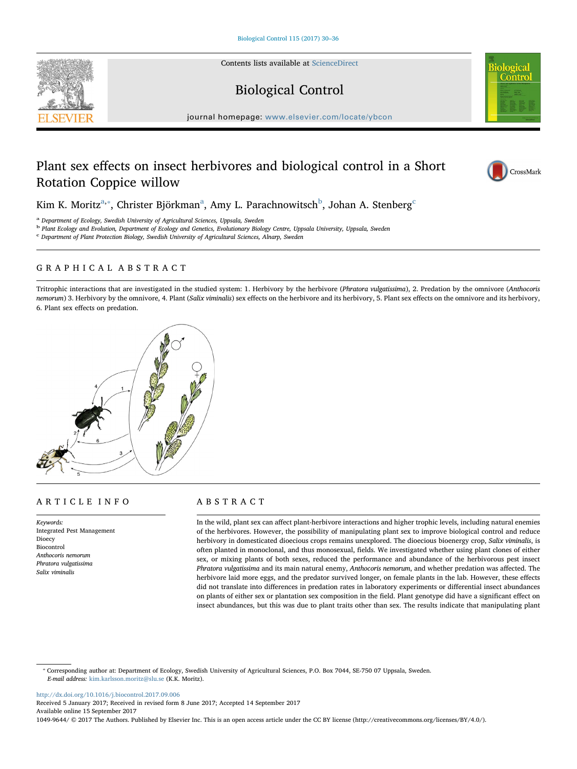Contents lists available at [ScienceDirect](http://www.sciencedirect.com/science/journal/10499644)

# Biological Control

journal homepage: [www.elsevier.com/locate/ybcon](http://www.elsevier.com/locate/ybcon)

## Plant sex effects on insect herbivores and biological control in a Short Rotation Coppice willow

Kim K. Moritz $^{\mathrm{a},*}$  $^{\mathrm{a},*}$  $^{\mathrm{a},*}$ , Christer Björkman $^{\mathrm{a}}$ , Amy L. Para[c](#page-0-3)hnowitsch $^{\mathrm{b}}$  $^{\mathrm{b}}$  $^{\mathrm{b}}$ , Johan A. Stenberg $^{\mathrm{c}}$ 

<span id="page-0-0"></span><sup>a</sup> Department of Ecology, Swedish University of Agricultural Sciences, Uppsala, Sweden

<span id="page-0-2"></span><sup>b</sup> Plant Ecology and Evolution, Department of Ecology and Genetics, Evolutionary Biology Centre, Uppsala University, Uppsala, Sweden

<span id="page-0-3"></span> $\,^{\rm c}$  Department of Plant Protection Biology, Swedish University of Agricultural Sciences, Alnarp, Sweden

## GRAPHICAL ABSTRACT

Tritrophic interactions that are investigated in the studied system: 1. Herbivory by the herbivore (Phratora vulgatissima), 2. Predation by the omnivore (Anthocoris nemorum) 3. Herbivory by the omnivore, 4. Plant (Salix viminalis) sex effects on the herbivore and its herbivory, 5. Plant sex effects on the omnivore and its herbivory, 6. Plant sex effects on predation.



Keywords: Integrated Pest Management Dioecy Biocontrol Anthocoris nemorum Phratora vulgatissima Salix viminalis

## ABSTRACT

In the wild, plant sex can affect plant-herbivore interactions and higher trophic levels, including natural enemies of the herbivores. However, the possibility of manipulating plant sex to improve biological control and reduce herbivory in domesticated dioecious crops remains unexplored. The dioecious bioenergy crop, Salix viminalis, is often planted in monoclonal, and thus monosexual, fields. We investigated whether using plant clones of either sex, or mixing plants of both sexes, reduced the performance and abundance of the herbivorous pest insect Phratora vulgatissima and its main natural enemy, Anthocoris nemorum, and whether predation was affected. The herbivore laid more eggs, and the predator survived longer, on female plants in the lab. However, these effects did not translate into differences in predation rates in laboratory experiments or differential insect abundances on plants of either sex or plantation sex composition in the field. Plant genotype did have a significant effect on insect abundances, but this was due to plant traits other than sex. The results indicate that manipulating plant

<span id="page-0-1"></span>⁎ Corresponding author at: Department of Ecology, Swedish University of Agricultural Sciences, P.O. Box 7044, SE-750 07 Uppsala, Sweden. E-mail address: [kim.karlsson.moritz@slu.se](mailto:kim.karlsson.moritz@slu.se) (K.K. Moritz).

<http://dx.doi.org/10.1016/j.biocontrol.2017.09.006>

Received 5 January 2017; Received in revised form 8 June 2017; Accepted 14 September 2017 Available online 15 September 2017

1049-9644/ © 2017 The Authors. Published by Elsevier Inc. This is an open access article under the CC BY license (http://creativecommons.org/licenses/BY/4.0/).



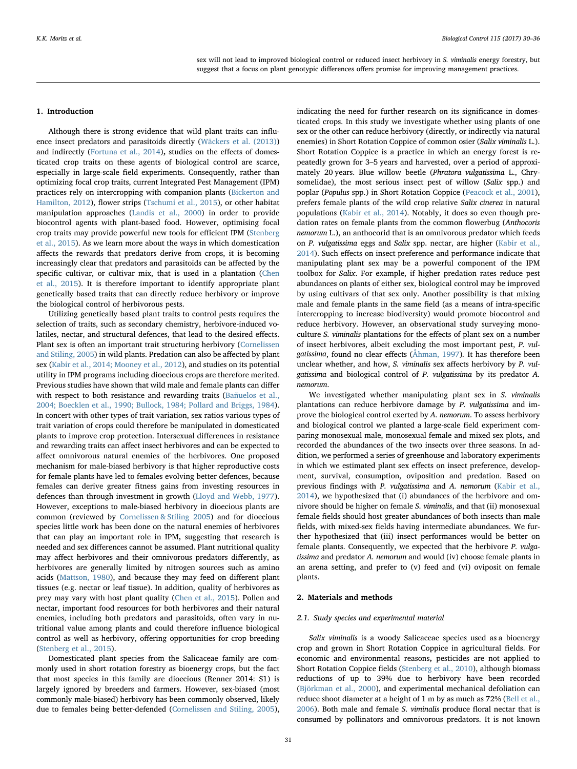## 1. Introduction

Although there is strong evidence that wild plant traits can influence insect predators and parasitoids directly [\(Wäckers et al. \(2013\)\)](#page-6-0) and indirectly ([Fortuna et al., 2014\)](#page-6-1), studies on the effects of domesticated crop traits on these agents of biological control are scarce, especially in large-scale field experiments. Consequently, rather than optimizing focal crop traits, current Integrated Pest Management (IPM) practices rely on intercropping with companion plants ([Bickerton and](#page-6-2) [Hamilton, 2012](#page-6-2)), flower strips [\(Tschumi et al., 2015\)](#page-6-3), or other habitat manipulation approaches [\(Landis et al., 2000](#page-6-4)) in order to provide biocontrol agents with plant-based food. However, optimising focal crop traits may provide powerful new tools for efficient IPM ([Stenberg](#page-6-5) [et al., 2015\)](#page-6-5). As we learn more about the ways in which domestication affects the rewards that predators derive from crops, it is becoming increasingly clear that predators and parasitoids can be affected by the specific cultivar, or cultivar mix, that is used in a plantation ([Chen](#page-6-6) [et al., 2015\)](#page-6-6). It is therefore important to identify appropriate plant genetically based traits that can directly reduce herbivory or improve the biological control of herbivorous pests.

Utilizing genetically based plant traits to control pests requires the selection of traits, such as secondary chemistry, herbivore-induced volatiles, nectar, and structural defences, that lead to the desired effects. Plant sex is often an important trait structuring herbivory [\(Cornelissen](#page-6-7) [and Stiling, 2005](#page-6-7)) in wild plants. Predation can also be affected by plant sex ([Kabir et al., 2014; Mooney et al., 2012\)](#page-6-8), and studies on its potential utility in IPM programs including dioecious crops are therefore merited. Previous studies have shown that wild male and female plants can differ with respect to both resistance and rewarding traits ([Bañuelos et al.,](#page-6-9) [2004; Boecklen et al., 1990; Bullock, 1984; Pollard and Briggs, 1984](#page-6-9)). In concert with other types of trait variation, sex ratios various types of trait variation of crops could therefore be manipulated in domesticated plants to improve crop protection. Intersexual differences in resistance and rewarding traits can affect insect herbivores and can be expected to affect omnivorous natural enemies of the herbivores. One proposed mechanism for male-biased herbivory is that higher reproductive costs for female plants have led to females evolving better defences, because females can derive greater fitness gains from investing resources in defences than through investment in growth [\(Lloyd and Webb, 1977](#page-6-10)). However, exceptions to male-biased herbivory in dioecious plants are common (reviewed by [Cornelissen & Stiling 2005](#page-6-7)) and for dioecious species little work has been done on the natural enemies of herbivores that can play an important role in IPM, suggesting that research is needed and sex differences cannot be assumed. Plant nutritional quality may affect herbivores and their omnivorous predators differently, as herbivores are generally limited by nitrogen sources such as amino acids ([Mattson, 1980\)](#page-6-11), and because they may feed on different plant tissues (e.g. nectar or leaf tissue). In addition, quality of herbivores as prey may vary with host plant quality ([Chen et al., 2015\)](#page-6-6). Pollen and nectar, important food resources for both herbivores and their natural enemies, including both predators and parasitoids, often vary in nutritional value among plants and could therefore influence biological control as well as herbivory, offering opportunities for crop breeding ([Stenberg et al., 2015\)](#page-6-5).

Domesticated plant species from the Salicaceae family are commonly used in short rotation forestry as bioenergy crops, but the fact that most species in this family are dioecious (Renner 2014: S1) is largely ignored by breeders and farmers. However, sex-biased (most commonly male-biased) herbivory has been commonly observed, likely due to females being better-defended ([Cornelissen and Stiling, 2005](#page-6-7)),

indicating the need for further research on its significance in domesticated crops. In this study we investigate whether using plants of one sex or the other can reduce herbivory (directly, or indirectly via natural enemies) in Short Rotation Coppice of common osier (Salix viminalis L.). Short Rotation Coppice is a practice in which an energy forest is repeatedly grown for 3–5 years and harvested, over a period of approximately 20 years. Blue willow beetle (Phratora vulgatissima L., Chrysomelidae), the most serious insect pest of willow (Salix spp.) and poplar (Populus spp.) in Short Rotation Coppice ([Peacock et al., 2001](#page-6-12)), prefers female plants of the wild crop relative Salix cinerea in natural populations ([Kabir et al., 2014](#page-6-8)). Notably, it does so even though predation rates on female plants from the common flowerbug (Anthocoris nemorum L.), an anthocorid that is an omnivorous predator which feeds on P. vulgatissima eggs and Salix spp. nectar, are higher ([Kabir et al.,](#page-6-8) [2014\)](#page-6-8). Such effects on insect preference and performance indicate that manipulating plant sex may be a powerful component of the IPM toolbox for Salix. For example, if higher predation rates reduce pest abundances on plants of either sex, biological control may be improved by using cultivars of that sex only. Another possibility is that mixing male and female plants in the same field (as a means of intra-specific intercropping to increase biodiversity) would promote biocontrol and reduce herbivory. However, an observational study surveying monoculture S. viminalis plantations for the effects of plant sex on a number of insect herbivores, albeit excluding the most important pest, P. vulgatissima, found no clear effects [\(Åhman, 1997\)](#page-6-13). It has therefore been unclear whether, and how, S. viminalis sex affects herbivory by P. vulgatissima and biological control of P. vulgatissima by its predator A. nemorum.

We investigated whether manipulating plant sex in S. viminalis plantations can reduce herbivore damage by P. vulgatissima and improve the biological control exerted by A. nemorum. To assess herbivory and biological control we planted a large-scale field experiment comparing monosexual male, monosexual female and mixed sex plots, and recorded the abundances of the two insects over three seasons. In addition, we performed a series of greenhouse and laboratory experiments in which we estimated plant sex effects on insect preference, development, survival, consumption, oviposition and predation. Based on previous findings with P. vulgatissima and A. nemorum [\(Kabir et al.,](#page-6-8) [2014\)](#page-6-8), we hypothesized that (i) abundances of the herbivore and omnivore should be higher on female S. viminalis, and that (ii) monosexual female fields should host greater abundances of both insects than male fields, with mixed-sex fields having intermediate abundances. We further hypothesized that (iii) insect performances would be better on female plants. Consequently, we expected that the herbivore P. vulgatissima and predator A. nemorum and would (iv) choose female plants in an arena setting, and prefer to (v) feed and (vi) oviposit on female plants.

## 2. Materials and methods

#### 2.1. Study species and experimental material

Salix viminalis is a woody Salicaceae species used as a bioenergy crop and grown in Short Rotation Coppice in agricultural fields. For economic and environmental reasons, pesticides are not applied to Short Rotation Coppice fields [\(Stenberg et al., 2010](#page-6-14)), although biomass reductions of up to 39% due to herbivory have been recorded ([Björkman et al., 2000](#page-6-15)), and experimental mechanical defoliation can reduce shoot diameter at a height of 1 m by as much as 72% ([Bell et al.,](#page-6-16) [2006\)](#page-6-16). Both male and female S. viminalis produce floral nectar that is consumed by pollinators and omnivorous predators. It is not known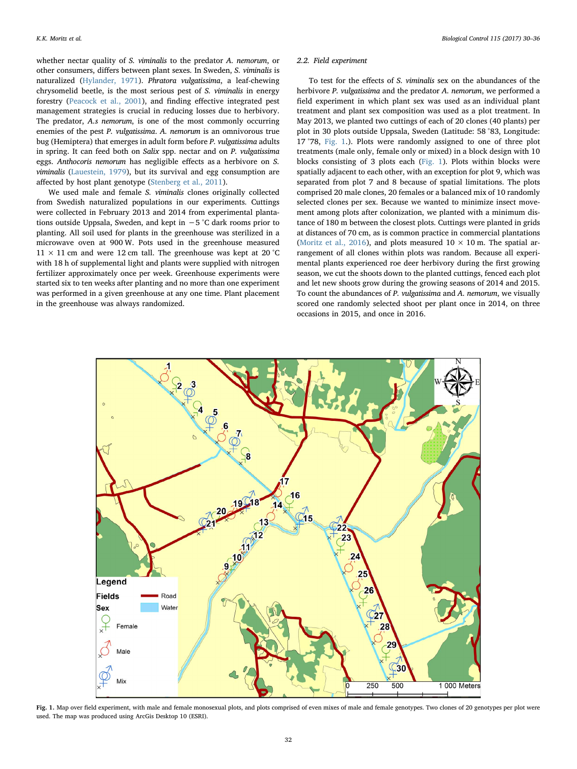whether nectar quality of S. viminalis to the predator A. nemorum, or other consumers, differs between plant sexes. In Sweden, S. viminalis is naturalized [\(Hylander, 1971\)](#page-6-17). Phratora vulgatissima, a leaf-chewing chrysomelid beetle, is the most serious pest of S. viminalis in energy forestry [\(Peacock et al., 2001\)](#page-6-12), and finding effective integrated pest management strategies is crucial in reducing losses due to herbivory. The predator, A.s nemorum, is one of the most commonly occurring enemies of the pest P. vulgatissima. A. nemorum is an omnivorous true bug (Hemiptera) that emerges in adult form before P. vulgatissima adults in spring. It can feed both on Salix spp. nectar and on P. vulgatissima eggs. Anthocoris nemorum has negligible effects as a herbivore on S. viminalis ([Lauestein, 1979](#page-6-18)), but its survival and egg consumption are affected by host plant genotype ([Stenberg et al., 2011](#page-6-19)).

We used male and female S. viminalis clones originally collected from Swedish naturalized populations in our experiments. Cuttings were collected in February 2013 and 2014 from experimental plantations outside Uppsala, Sweden, and kept in −5 °C dark rooms prior to planting. All soil used for plants in the greenhouse was sterilized in a microwave oven at 900 W. Pots used in the greenhouse measured  $11 \times 11$  cm and were 12 cm tall. The greenhouse was kept at 20 °C with 18 h of supplemental light and plants were supplied with nitrogen fertilizer approximately once per week. Greenhouse experiments were started six to ten weeks after planting and no more than one experiment was performed in a given greenhouse at any one time. Plant placement in the greenhouse was always randomized.

#### 2.2. Field experiment

To test for the effects of S. viminalis sex on the abundances of the herbivore P. vulgatissima and the predator A. nemorum, we performed a field experiment in which plant sex was used as an individual plant treatment and plant sex composition was used as a plot treatment. In May 2013, we planted two cuttings of each of 20 clones (40 plants) per plot in 30 plots outside Uppsala, Sweden (Latitude: 58 °83, Longitude: 17 °78, [Fig. 1.](#page-2-0)). Plots were randomly assigned to one of three plot treatments (male only, female only or mixed) in a block design with 10 blocks consisting of 3 plots each [\(Fig. 1](#page-2-0)). Plots within blocks were spatially adjacent to each other, with an exception for plot 9, which was separated from plot 7 and 8 because of spatial limitations. The plots comprised 20 male clones, 20 females or a balanced mix of 10 randomly selected clones per sex. Because we wanted to minimize insect movement among plots after colonization, we planted with a minimum distance of 180 m between the closest plots. Cuttings were planted in grids at distances of 70 cm, as is common practice in commercial plantations (Moritz [et al., 2016](#page-6-20)), and plots measured  $10 \times 10$  m. The spatial arrangement of all clones within plots was random. Because all experimental plants experienced roe deer herbivory during the first growing season, we cut the shoots down to the planted cuttings, fenced each plot and let new shoots grow during the growing seasons of 2014 and 2015. To count the abundances of P. vulgatissima and A. nemorum, we visually scored one randomly selected shoot per plant once in 2014, on three occasions in 2015, and once in 2016.

<span id="page-2-0"></span>

Fig. 1. Map over field experiment, with male and female monosexual plots, and plots comprised of even mixes of male and female genotypes. Two clones of 20 genotypes per plot were used. The map was produced using ArcGis Desktop 10 (ESRI).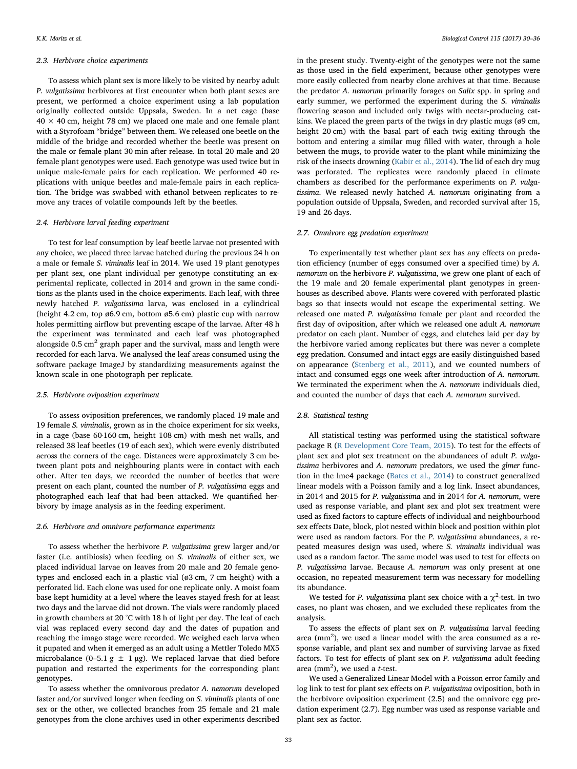#### 2.3. Herbivore choice experiments

To assess which plant sex is more likely to be visited by nearby adult P. vulgatissima herbivores at first encounter when both plant sexes are present, we performed a choice experiment using a lab population originally collected outside Uppsala, Sweden. In a net cage (base  $40 \times 40$  cm, height 78 cm) we placed one male and one female plant with a Styrofoam "bridge" between them. We released one beetle on the middle of the bridge and recorded whether the beetle was present on the male or female plant 30 min after release. In total 20 male and 20 female plant genotypes were used. Each genotype was used twice but in unique male-female pairs for each replication. We performed 40 replications with unique beetles and male-female pairs in each replication. The bridge was swabbed with ethanol between replicates to remove any traces of volatile compounds left by the beetles.

## 2.4. Herbivore larval feeding experiment

To test for leaf consumption by leaf beetle larvae not presented with any choice, we placed three larvae hatched during the previous 24 h on a male or female S. viminalis leaf in 2014. We used 19 plant genotypes per plant sex, one plant individual per genotype constituting an experimental replicate, collected in 2014 and grown in the same conditions as the plants used in the choice experiments. Each leaf, with three newly hatched P. vulgatissima larva, was enclosed in a cylindrical (height 4.2 cm, top ø6.9 cm, bottom ø5.6 cm) plastic cup with narrow holes permitting airflow but preventing escape of the larvae. After 48 h the experiment was terminated and each leaf was photographed alongside  $0.5 \text{ cm}^2$  graph paper and the survival, mass and length were recorded for each larva. We analysed the leaf areas consumed using the software package ImageJ by standardizing measurements against the known scale in one photograph per replicate.

#### 2.5. Herbivore oviposition experiment

To assess oviposition preferences, we randomly placed 19 male and 19 female S. viminalis, grown as in the choice experiment for six weeks, in a cage (base 60·160 cm, height 108 cm) with mesh net walls, and released 38 leaf beetles (19 of each sex), which were evenly distributed across the corners of the cage. Distances were approximately 3 cm between plant pots and neighbouring plants were in contact with each other. After ten days, we recorded the number of beetles that were present on each plant, counted the number of P. vulgatissima eggs and photographed each leaf that had been attacked. We quantified herbivory by image analysis as in the feeding experiment.

#### 2.6. Herbivore and omnivore performance experiments

To assess whether the herbivore P. vulgatissima grew larger and/or faster (i.e. antibiosis) when feeding on S. viminalis of either sex, we placed individual larvae on leaves from 20 male and 20 female genotypes and enclosed each in a plastic vial (ø3 cm, 7 cm height) with a perforated lid. Each clone was used for one replicate only. A moist foam base kept humidity at a level where the leaves stayed fresh for at least two days and the larvae did not drown. The vials were randomly placed in growth chambers at 20 °C with 18 h of light per day. The leaf of each vial was replaced every second day and the dates of pupation and reaching the imago stage were recorded. We weighed each larva when it pupated and when it emerged as an adult using a Mettler Toledo MX5 microbalance (0–5.1 g  $\pm$  1 µg). We replaced larvae that died before pupation and restarted the experiments for the corresponding plant genotypes.

To assess whether the omnivorous predator A. nemorum developed faster and/or survived longer when feeding on S. viminalis plants of one sex or the other, we collected branches from 25 female and 21 male genotypes from the clone archives used in other experiments described in the present study. Twenty-eight of the genotypes were not the same as those used in the field experiment, because other genotypes were more easily collected from nearby clone archives at that time. Because the predator A. nemorum primarily forages on Salix spp. in spring and early summer, we performed the experiment during the S. viminalis flowering season and included only twigs with nectar-producing catkins. We placed the green parts of the twigs in dry plastic mugs (ø9 cm, height 20 cm) with the basal part of each twig exiting through the bottom and entering a similar mug filled with water, through a hole between the mugs, to provide water to the plant while minimizing the risk of the insects drowning ([Kabir et al., 2014\)](#page-6-8). The lid of each dry mug was perforated. The replicates were randomly placed in climate chambers as described for the performance experiments on P. vulgatissima. We released newly hatched A. nemorum originating from a population outside of Uppsala, Sweden, and recorded survival after 15, 19 and 26 days.

## 2.7. Omnivore egg predation experiment

To experimentally test whether plant sex has any effects on predation efficiency (number of eggs consumed over a specified time) by A. nemorum on the herbivore P. vulgatissima, we grew one plant of each of the 19 male and 20 female experimental plant genotypes in greenhouses as described above. Plants were covered with perforated plastic bags so that insects would not escape the experimental setting. We released one mated P. vulgatissima female per plant and recorded the first day of oviposition, after which we released one adult A. nemorum predator on each plant. Number of eggs, and clutches laid per day by the herbivore varied among replicates but there was never a complete egg predation. Consumed and intact eggs are easily distinguished based on appearance [\(Stenberg et al., 2011](#page-6-19)), and we counted numbers of intact and consumed eggs one week after introduction of A. nemorum. We terminated the experiment when the A. nemorum individuals died, and counted the number of days that each A. nemorum survived.

## 2.8. Statistical testing

All statistical testing was performed using the statistical software package R [\(R Development Core Team, 2015\)](#page-6-21). To test for the effects of plant sex and plot sex treatment on the abundances of adult P. vulgatissima herbivores and A. nemorum predators, we used the glmer function in the lme4 package ([Bates et al., 2014\)](#page-6-22) to construct generalized linear models with a Poisson family and a log link. Insect abundances, in 2014 and 2015 for P. vulgatissima and in 2014 for A. nemorum, were used as response variable, and plant sex and plot sex treatment were used as fixed factors to capture effects of individual and neighbourhood sex effects Date, block, plot nested within block and position within plot were used as random factors. For the P. vulgatissima abundances, a repeated measures design was used, where S. viminalis individual was used as a random factor. The same model was used to test for effects on P. vulgatissima larvae. Because A. nemorum was only present at one occasion, no repeated measurement term was necessary for modelling its abundance.

We tested for *P. vulgatissima* plant sex choice with a  $\chi^2$ -test. In two cases, no plant was chosen, and we excluded these replicates from the analysis.

To assess the effects of plant sex on P. vulgatissima larval feeding area  $(mm<sup>2</sup>)$ , we used a linear model with the area consumed as a response variable, and plant sex and number of surviving larvae as fixed factors. To test for effects of plant sex on P. vulgatissima adult feeding area (mm<sup>2</sup>), we used a *t*-test.

We used a Generalized Linear Model with a Poisson error family and log link to test for plant sex effects on P. vulgatissima oviposition, both in the herbivore oviposition experiment (2.5) and the omnivore egg predation experiment (2.7). Egg number was used as response variable and plant sex as factor.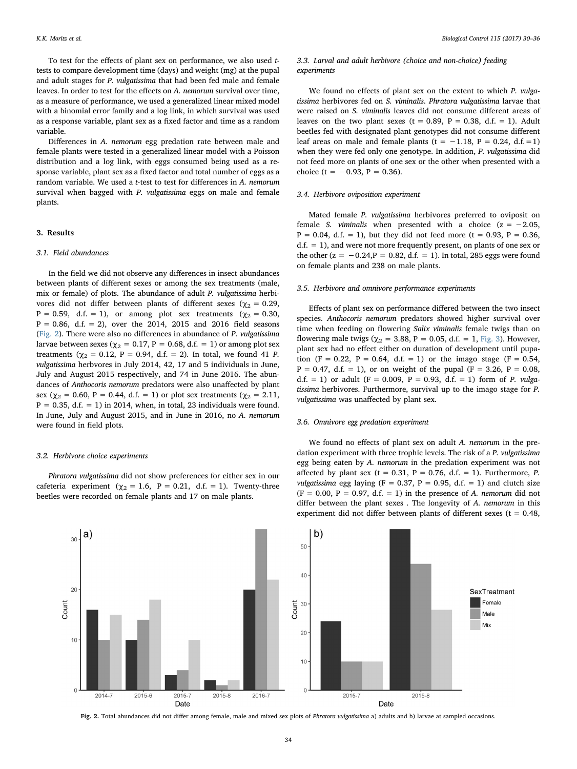To test for the effects of plant sex on performance, we also used ttests to compare development time (days) and weight (mg) at the pupal and adult stages for P. vulgatissima that had been fed male and female leaves. In order to test for the effects on A. nemorum survival over time, as a measure of performance, we used a generalized linear mixed model with a binomial error family and a log link, in which survival was used as a response variable, plant sex as a fixed factor and time as a random variable.

Differences in A. nemorum egg predation rate between male and female plants were tested in a generalized linear model with a Poisson distribution and a log link, with eggs consumed being used as a response variable, plant sex as a fixed factor and total number of eggs as a random variable. We used a t-test to test for differences in A. nemorum survival when bagged with P. vulgatissima eggs on male and female plants.

## 3. Results

#### 3.1. Field abundances

In the field we did not observe any differences in insect abundances between plants of different sexes or among the sex treatments (male, mix or female) of plots. The abundance of adult P. vulgatissima herbivores did not differ between plants of different sexes ( $\chi_2 = 0.29$ , P = 0.59, d.f. = 1), or among plot sex treatments ( $\chi_2$  = 0.30,  $P = 0.86$ , d.f. = 2), over the 2014, 2015 and 2016 field seasons ([Fig. 2\)](#page-4-0). There were also no differences in abundance of P. vulgatissima larvae between sexes ( $\chi$ <sub>2</sub> = 0.17, P = 0.68, d.f. = 1) or among plot sex treatments ( $\chi_2 = 0.12$ , P = 0.94, d.f. = 2). In total, we found 41 P. vulgatissima herbvores in July 2014, 42, 17 and 5 individuals in June, July and August 2015 respectively, and 74 in June 2016. The abundances of Anthocoris nemorum predators were also unaffected by plant sex ( $\chi_2$  = 0.60, P = 0.44, d.f. = 1) or plot sex treatments ( $\chi_2$  = 2.11,  $P = 0.35$ , d.f. = 1) in 2014, when, in total, 23 individuals were found. In June, July and August 2015, and in June in 2016, no A. nemorum were found in field plots.

#### 3.2. Herbivore choice experiments

Phratora vulgatissima did not show preferences for either sex in our cafeteria experiment ( $\chi_2 = 1.6$ , P = 0.21, d.f. = 1). Twenty-three beetles were recorded on female plants and 17 on male plants.

## 3.3. Larval and adult herbivore (choice and non-choice) feeding experiments

We found no effects of plant sex on the extent to which P. vulgatissima herbivores fed on S. viminalis. Phratora vulgatissima larvae that were raised on S. viminalis leaves did not consume different areas of leaves on the two plant sexes (t = 0.89, P = 0.38, d.f. = 1). Adult beetles fed with designated plant genotypes did not consume different leaf areas on male and female plants (t =  $-1.18$ , P = 0.24, d.f. = 1) when they were fed only one genotype. In addition, P. vulgatissima did not feed more on plants of one sex or the other when presented with a choice (t =  $-0.93$ , P = 0.36).

### 3.4. Herbivore oviposition experiment

Mated female P. vulgatissima herbivores preferred to oviposit on female *S. viminalis* when presented with a choice  $(z = -2.05$ ,  $P = 0.04$ , d.f. = 1), but they did not feed more (t = 0.93, P = 0.36,  $d.f. = 1$ , and were not more frequently present, on plants of one sex or the other  $(z = -0.24, P = 0.82, d.f. = 1)$ . In total, 285 eggs were found on female plants and 238 on male plants.

## 3.5. Herbivore and omnivore performance experiments

Effects of plant sex on performance differed between the two insect species. Anthocoris nemorum predators showed higher survival over time when feeding on flowering Salix viminalis female twigs than on flowering male twigs ( $\chi$ <sub>2</sub> = 3.88, P = 0.05, d.f. = 1, [Fig. 3](#page-5-0)). However, plant sex had no effect either on duration of development until pupation (F = 0.22, P = 0.64, d.f. = 1) or the imago stage (F = 0.54,  $P = 0.47$ , d.f. = 1), or on weight of the pupal (F = 3.26, P = 0.08, d.f. = 1) or adult ( $F = 0.009$ ,  $P = 0.93$ , d.f. = 1) form of P. vulgatissima herbivores. Furthermore, survival up to the imago stage for P. vulgatissima was unaffected by plant sex.

### 3.6. Omnivore egg predation experiment

We found no effects of plant sex on adult A. nemorum in the predation experiment with three trophic levels. The risk of a P. vulgatissima egg being eaten by A. nemorum in the predation experiment was not affected by plant sex (t = 0.31, P = 0.76, d.f. = 1). Furthermore, P. vulgatissima egg laying (F = 0.37, P = 0.95, d.f. = 1) and clutch size  $(F = 0.00, P = 0.97, d.f. = 1)$  in the presence of A. nemorum did not differ between the plant sexes . The longevity of A. nemorum in this experiment did not differ between plants of different sexes ( $t = 0.48$ ,

<span id="page-4-0"></span>

Fig. 2. Total abundances did not differ among female, male and mixed sex plots of Phratora vulgatissima a) adults and b) larvae at sampled occasions.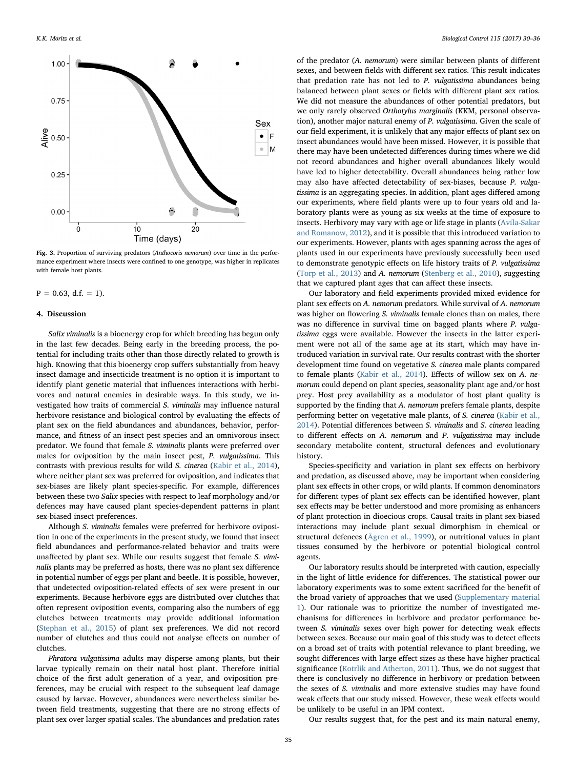<span id="page-5-0"></span>

Fig. 3. Proportion of surviving predators (Anthocoris nemorum) over time in the performance experiment where insects were confined to one genotype, was higher in replicates with female host plants.

 $P = 0.63$ , d.f. = 1).

### 4. Discussion

Salix viminalis is a bioenergy crop for which breeding has begun only in the last few decades. Being early in the breeding process, the potential for including traits other than those directly related to growth is high. Knowing that this bioenergy crop suffers substantially from heavy insect damage and insecticide treatment is no option it is important to identify plant genetic material that influences interactions with herbivores and natural enemies in desirable ways. In this study, we investigated how traits of commercial S. viminalis may influence natural herbivore resistance and biological control by evaluating the effects of plant sex on the field abundances and abundances, behavior, performance, and fitness of an insect pest species and an omnivorous insect predator. We found that female S. viminalis plants were preferred over males for oviposition by the main insect pest, P. vulgatissima. This contrasts with previous results for wild S. cinerea [\(Kabir et al., 2014](#page-6-8)), where neither plant sex was preferred for oviposition, and indicates that sex-biases are likely plant species-specific. For example, differences between these two Salix species with respect to leaf morphology and/or defences may have caused plant species-dependent patterns in plant sex-biased insect preferences.

Although S. viminalis females were preferred for herbivore oviposition in one of the experiments in the present study, we found that insect field abundances and performance-related behavior and traits were unaffected by plant sex. While our results suggest that female S. viminalis plants may be preferred as hosts, there was no plant sex difference in potential number of eggs per plant and beetle. It is possible, however, that undetected oviposition-related effects of sex were present in our experiments. Because herbivore eggs are distributed over clutches that often represent oviposition events, comparing also the numbers of egg clutches between treatments may provide additional information ([Stephan et al., 2015\)](#page-6-23) of plant sex preferences. We did not record number of clutches and thus could not analyse effects on number of clutches.

Phratora vulgatissima adults may disperse among plants, but their larvae typically remain on their natal host plant. Therefore initial choice of the first adult generation of a year, and oviposition preferences, may be crucial with respect to the subsequent leaf damage caused by larvae. However, abundances were nevertheless similar between field treatments, suggesting that there are no strong effects of plant sex over larger spatial scales. The abundances and predation rates of the predator (A. nemorum) were similar between plants of different sexes, and between fields with different sex ratios. This result indicates that predation rate has not led to P. vulgatissima abundances being balanced between plant sexes or fields with different plant sex ratios. We did not measure the abundances of other potential predators, but we only rarely observed Orthotylus marginalis (KKM, personal observation), another major natural enemy of P. vulgatissima. Given the scale of our field experiment, it is unlikely that any major effects of plant sex on insect abundances would have been missed. However, it is possible that there may have been undetected differences during times where we did not record abundances and higher overall abundances likely would have led to higher detectability. Overall abundances being rather low may also have affected detectability of sex-biases, because P. vulgatissima is an aggregating species. In addition, plant ages differed among our experiments, where field plants were up to four years old and laboratory plants were as young as six weeks at the time of exposure to insects. Herbivory may vary with age or life stage in plants [\(Avila-Sakar](#page-6-24) [and Romanow, 2012](#page-6-24)), and it is possible that this introduced variation to our experiments. However, plants with ages spanning across the ages of plants used in our experiments have previously successfully been used to demonstrate genotypic effects on life history traits of P. vulgatissima ([Torp et al., 2013\)](#page-6-25) and A. nemorum [\(Stenberg et al., 2010\)](#page-6-14), suggesting that we captured plant ages that can affect these insects.

Our laboratory and field experiments provided mixed evidence for plant sex effects on A. nemorum predators. While survival of A. nemorum was higher on flowering S. viminalis female clones than on males, there was no difference in survival time on bagged plants where P. vulgatissima eggs were available. However the insects in the latter experiment were not all of the same age at its start, which may have introduced variation in survival rate. Our results contrast with the shorter development time found on vegetative S. cinerea male plants compared to female plants ([Kabir et al., 2014\)](#page-6-8). Effects of willow sex on A. nemorum could depend on plant species, seasonality plant age and/or host prey. Host prey availability as a modulator of host plant quality is supported by the finding that A. nemorum prefers female plants, despite performing better on vegetative male plants, of S. cinerea ([Kabir et al.,](#page-6-8) [2014\)](#page-6-8). Potential differences between S. viminalis and S. cinerea leading to different effects on A. nemorum and P. vulgatissima may include secondary metabolite content, structural defences and evolutionary history.

Species-specificity and variation in plant sex effects on herbivory and predation, as discussed above, may be important when considering plant sex effects in other crops, or wild plants. If common denominators for different types of plant sex effects can be identified however, plant sex effects may be better understood and more promising as enhancers of plant protection in dioecious crops. Causal traits in plant sex-biased interactions may include plant sexual dimorphism in chemical or structural defences (Å[gren et al., 1999](#page-6-26)), or nutritional values in plant tissues consumed by the herbivore or potential biological control agents.

Our laboratory results should be interpreted with caution, especially in the light of little evidence for differences. The statistical power our laboratory experiments was to some extent sacrificed for the benefit of the broad variety of approaches that we used (Supplementary material 1). Our rationale was to prioritize the number of investigated mechanisms for differences in herbivore and predator performance between S. viminalis sexes over high power for detecting weak effects between sexes. Because our main goal of this study was to detect effects on a broad set of traits with potential relevance to plant breeding, we sought differences with large effect sizes as these have higher practical significance [\(Kotrlik and Atherton, 2011](#page-6-27)). Thus, we do not suggest that there is conclusively no difference in herbivory or predation between the sexes of S. viminalis and more extensive studies may have found weak effects that our study missed. However, these weak effects would be unlikely to be useful in an IPM context.

Our results suggest that, for the pest and its main natural enemy,